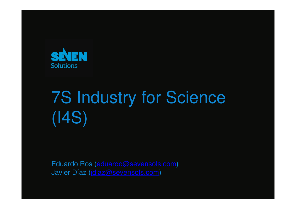

# 7S Industry for Science (I4S)

Eduardo Ros (eduardo@sevensols.com)Javier Díaz (jdiaz@sevensols.com)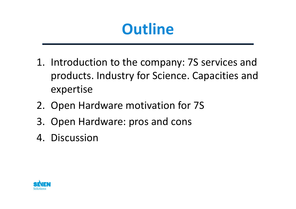## **Outline**

- 1. Introduction to the company: 7S services and products. Industry for Science. Capacities and expertise
- 2. Open Hardware motivation for 7S
- 3. Open Hardware: pros and cons
- 4. Discussion

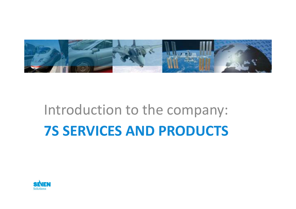

# Introduction to the company:7S SERVICES AND PRODUCTS

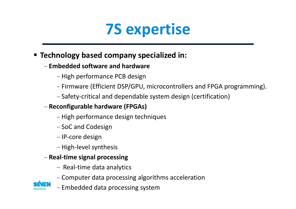

### **Example 3 Fig. 2 Fig. 2 Fig. 2 Fig. 2 Fig. 2 Fig. 2 Fig. 2 Fig. 2 Fig. 2 Fig. 2 Fig. 2 Fig. 2 Fig. 2 Fig. 2 Fig. 2 Fig. 2 Fig. 2 Fig. 2 Fig. 2 Fig. 2 Fig. 2 Fig. 2 Fig. 2 Fig. 2 Fig. 2 Fig. 2 Fig. 2 Fig. 2 Fig. 2 Fig. 2 F**

#### -Embedded software and hardware

- High performance PCB design
- -Firmware (Efficient DSP/GPU, microcontrollers and FPGA programming).
- -Safety-critical and dependable system design (certification)

#### -Reconfigurable hardware (FPGAs)

- High performance design techniques
- SoC and Codesign
- IP-core design
- High-level synthesis

#### - Real-time signal processing

- -- Real-time data analytics
- Computer data processing algorithms acceleration



-Embedded data processing system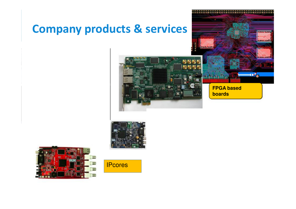### Company products & services



 $\mathbf{u}_0$ 





**IPcores**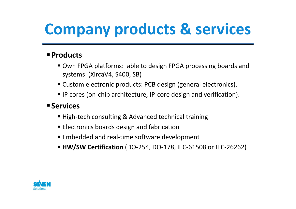# Company products & services

#### **Products**

- Own FPGA platforms: able to design FPGA processing boards and systems (XircaV4, S400, SB)
- Custom electronic products: PCB design (general electronics).
- IP cores (on-chip architecture, IP-core design and verification).

#### **Services**

- High-tech consulting & Advanced technical training
- Electronics boards design and fabrication
- Embedded and real-time software development
- HW/SW Certification (DO-254, DO-178, IEC-61508 or IEC-26262)

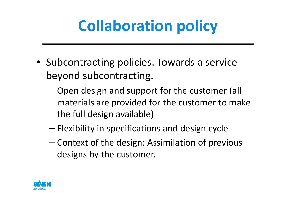# Collaboration policy

- Subcontracting policies. Towards a service beyond subcontracting.
	- –- Open design and support for the customer (all materials are provided for the customer to make the full design available)
	- – $-$  Flexibility in specifications and design cycle
	- –- Context of the design: Assimilation of previous designs by the customer.

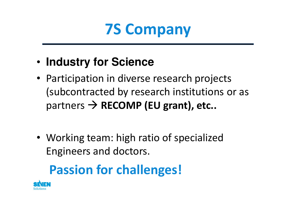## 7S Company

- •**Industry for Science**
- Participation in diverse research projects (subcontracted by research institutions or as partners  $\rightarrow$  RECOMP (EU grant), etc..
- Working team: high ratio of specialized Engineers and doctors.

### Passion for challenges!

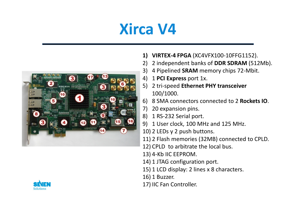# Xirca V4





- 1) VIRTEX-4 FPGA (XC4VFX100-10FFG1152).
- 2) 2 independent banks of **DDR SDRAM** (512Mb).<br>3) 4 Pipelined **SRAM** memory chips 72-Mbit.
- 3) 4 Pipelined **SRAM** memory chips 72-Mbit.<br>4) 1 **PCLEXPECS** ROIT 1 V
- 4) <sup>1</sup>PCI Express port 1x.
- 5) 2 tri-speed Ethernet PHY transceiver 100/1000.
- 6) 8 SMA connectors connected to 2 **Rockets IO**.
- 7) 20 expansion pins.
- 8) 1 RS-232 Serial port.
- 9) 1 User clock, 100 MHz and 125 MHz.
- 10) 2 LEDs y 2 push buttons.
- 11) 2 Flash memories (32MB) connected to CPLD.
- 12) CPLD to arbitrate the local bus.
- 13) 4-Kb IIC EEPROM.
- 14) 1 JTAG configuration port.
- 15) 1 LCD display: 2 lines x 8 characters.
- 16) 1 Buzzer.
- 17) IIC Fan Controller.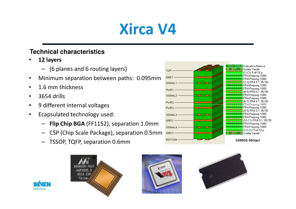# Xirca V4

#### **Technical characteristics**

- • 12 layers
	- (6 planes and 6 routing layers)
- •Minimum separation between paths: 0.095mm
- •1.6 mm thickness
- •3654 drills
- •9 different internal voltages
- • Ecapsulated technology used:
	- –Flip Chip BGA (FF1152), separation 1.0mm
	- CSP (Chip Scale Package), separation 0.5mm
	- TSSOP, TQFP, separation 0.6mm









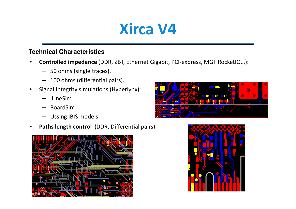### Xirca V4

#### **Technical Characteristics**

- • Controlled impedance (DDR, ZBT, Ethernet Gigabit, PCI-express, MGT RocketIO…):
	- 50 ohms (single traces).
	- 100 ohms (differential pairs).
- $\bullet$  Signal Integrity simulations (Hyperlynx):
	- LineSim
	- BoardSim
	- Ussing IBIS models –
- •Paths length control (DDR, Differential pairs).





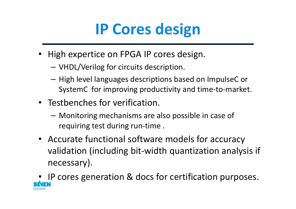# IP Cores design

- High expertice on FPGA IP cores design.
	- VHDL/Verilog for circuits description.
	- $-$  High level languages descriptions based on ImpulseC or SystemC for improving productivity and time-to-market.
- Testbenches for verification.
	- – Monitoring mechanisms are also possible in case of requiring test during run-time .
- Accurate functional software models for accuracy validation (including bit-width quantization analysis if necessary).
- •IP cores generation & docs for certification purposes.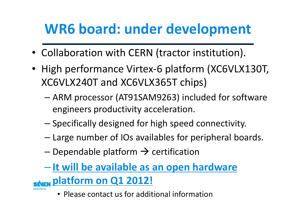### WR6 board: under development

- Collaboration with CERN (tractor institution).
- High performance Virtex-6 platform (XC6VLX130T, XC6VLX240T and XC6VLX365T chips)
	- – ARM processor (AT91SAM9263) included for software engineers productivity acceleration.
	- $-$  Specifically designed for high speed connectivity.
	- –Large number of IOs availables for peripheral boards.
	- Dependable platform → certification

### - It will be available as an open hardware **SAFN Platform on Q1 2012!**

• Please contact us for additional information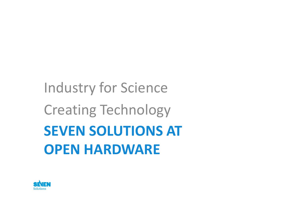# Industry for Science Creating TechnologySEVEN SOLUTIONS ATOPEN HARDWARE

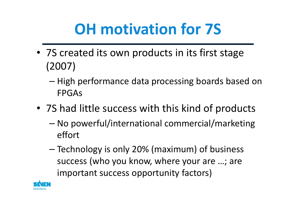# OH motivation for 7S

- 7S created its own products in its first stage (2007)
	- –– High performance data processing boards based on FPGAs
- 7S had little success with this kind of products
	- – No powerful/international commercial/marketing effort
	- – Technology is only 20% (maximum) of business success (who you know, where your are …; are important success opportunity factors)

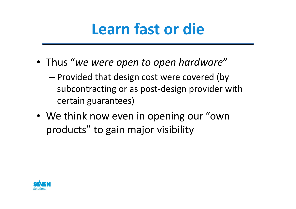## Learn fast or die

- Thus "we were open to open hardware"
	- –- Provided that design cost were covered (by subcontracting or as post-design provider with certain guarantees)
- We think now even in opening our "own products" to gain major visibility

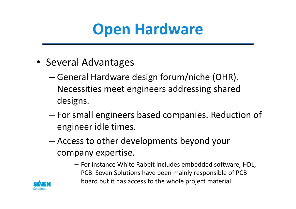## Open Hardware

- Several Advantages
	- – General Hardware design forum/niche (OHR). Necessities meet engineers addressing shared designs.
	- – For small engineers based companies. Reduction of engineer idle times.
	- – Access to other developments beyond your company expertise.
		- For instance White Rabbit includes embedded software, HDL, PCB. Seven Solutions have been mainly responsible of PCB board but it has access to the whole project material.

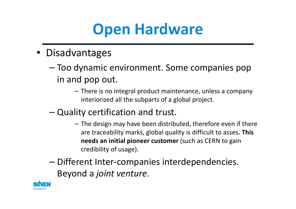## Open Hardware

- Disadvantages
	- – Too dynamic environment. Some companies pop in and pop out.
		- There is no integral product maintenance, unless a company interiorized all the subparts of a global project.
	- – Quality certification and trust.
		- The design may have been distributed, therefore even if there are traceability marks, global quality is difficult to asses. This needs an initial pioneer customer (such as CERN to gain credibility of usage).
	- – Different Inter-companies interdependencies. Beyond a joint venture.

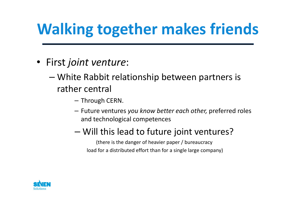# Walking together makes friends

- First joint venture:
	- – White Rabbit relationship between partners is rather central
		- Through CERN.
		- $-$  Future ventures you know better each other, preferred roles and technological competences
		- Will this lead to future joint ventures?

(there is the danger of heavier paper / bureaucracyload for a distributed effort than for a single large company)

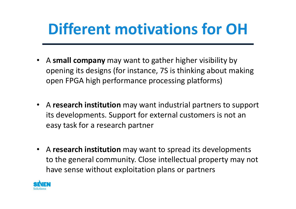# Different motivations for OH

- A small company may want to gather higher visibility by opening its designs (for instance, 7S is thinking about making open FPGA high performance processing platforms)
- A research institution may want industrial partners to support its developments. Support for external customers is not an easy task for a research partner
- A research institution may want to spread its developments to the general community. Close intellectual property may not have sense without exploitation plans or partners

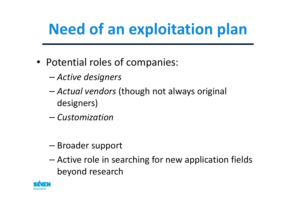# Need of an exploitation plan

- Potential roles of companies:
	- –Active designers
	- –- Actual vendors (though not always original designers)
	- –— Customization
	- –— Broader support
	- – Active role in searching for new application fields beyond research

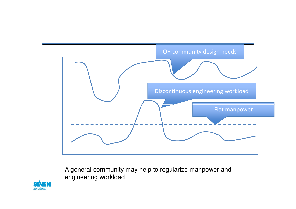

A general community may help to regularize manpower and engineering workload

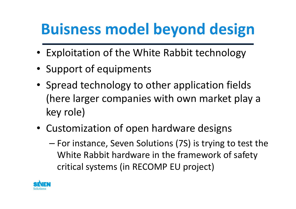# Buisness model beyond design

- Exploitation of the White Rabbit technology
- Support of equipments
- Spread technology to other application fields (here larger companies with own market play a key role)
- Customization of open hardware designs
	- – For instance, Seven Solutions (7S) is trying to test the White Rabbit hardware in the framework of safety critical systems (in RECOMP EU project)

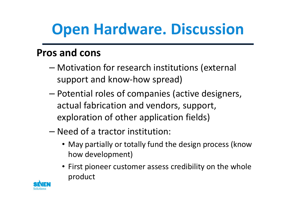# Open Hardware. Discussion

### Pros and cons

- – Motivation for research institutions (external support and know-how spread)
- – Potential roles of companies (active designers, actual fabrication and vendors, support, exploration of other application fields)
- – Need of a tractor institution:
	- May partially or totally fund the design process (know how development)
	- First pioneer customer assess credibility on the whole product